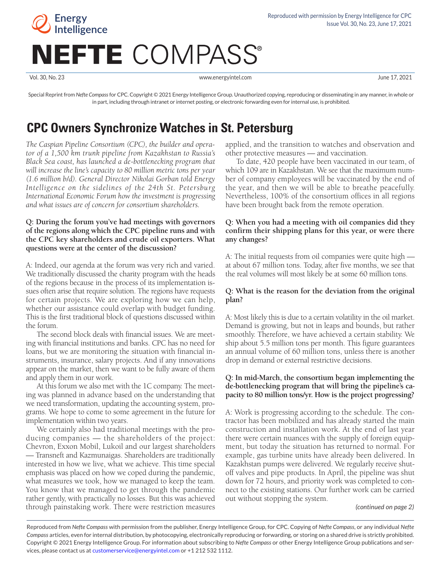

Vol. 30, No. 23 www.energyintel.com June 17, 2021

Special Reprint from *Nefte Compass* for CPC. Copyright © 2021 Energy Intelligence Group. Unauthorized copying, reproducing or disseminating in any manner, in whole or in part, including through intranet or internet posting, or electronic forwarding even for internal use, is prohibited.

# **CPC Owners Synchronize Watches in St. Petersburg**

*The Caspian Pipeline Consortium (CPC), the builder and operator of a 1,500 km trunk pipeline from Kazakhstan to Russia's Black Sea coast, has launched a de-bottlenecking program that will increase the line's capacity to 80 million metric tons per year (1.6 million b/d). General Director Nikolai Gorban told Energy Intelligence on the sidelines of the 24th St. Petersburg International Economic Forum how the investment is progressing and what issues are of concern for consortium shareholders.*

# **Q: During the forum you've had meetings with governors of the regions along which the CPC pipeline runs and with the CPC key shareholders and crude oil exporters. What questions were at the center of the discussion?**

A: Indeed, our agenda at the forum was very rich and varied. We traditionally discussed the charity program with the heads of the regions because in the process of its implementation issues often arise that require solution. The regions have requests for certain projects. We are exploring how we can help, whether our assistance could overlap with budget funding. This is the first traditional block of questions discussed within the forum.

The second block deals with financial issues. We are meeting with financial institutions and banks. CPC has no need for loans, but we are monitoring the situation with financial instruments, insurance, salary projects. And if any innovations appear on the market, then we want to be fully aware of them and apply them in our work.

At this forum we also met with the 1C company. The meeting was planned in advance based on the understanding that we need transformation, updating the accounting system, programs. We hope to come to some agreement in the future for implementation within two years.

We certainly also had traditional meetings with the producing companies — the shareholders of the project: Chevron, Exxon Mobil, Lukoil and our largest shareholders — Transneft and Kazmunaigas. Shareholders are traditionally interested in how we live, what we achieve. This time special emphasis was placed on how we coped during the pandemic, what measures we took, how we managed to keep the team. You know that we managed to get through the pandemic rather gently, with practically no losses. But this was achieved through painstaking work. There were restriction measures

applied, and the transition to watches and observation and other protective measures — and vaccination.

To date, 420 people have been vaccinated in our team, of which 109 are in Kazakhstan. We see that the maximum number of company employees will be vaccinated by the end of the year, and then we will be able to breathe peacefully. Nevertheless, 100% of the consortium offices in all regions have been brought back from the remote operation.

# **Q: When you had a meeting with oil companies did they confirm their shipping plans for this year, or were there any changes?**

A: The initial requests from oil companies were quite high at about 67 million tons. Today, after five months, we see that the real volumes will most likely be at some 60 million tons.

# **Q: What is the reason for the deviation from the original plan?**

A: Most likely this is due to a certain volatility in the oil market. Demand is growing, but not in leaps and bounds, but rather smoothly. Therefore, we have achieved a certain stability. We ship about 5.5 million tons per month. This figure guarantees an annual volume of 60 million tons, unless there is another drop in demand or external restrictive decisions.

# **Q: In mid-March, the consortium began implementing the de-bottlenecking program that will bring the pipeline's capacity to 80 million tons/yr. How is the project progressing?**

A: Work is progressing according to the schedule. The contractor has been mobilized and has already started the main construction and installation work. At the end of last year there were certain nuances with the supply of foreign equipment, but today the situation has returned to normal. For example, gas turbine units have already been delivered. In Kazakhstan pumps were delivered. We regularly receive shutoff valves and pipe products. In April, the pipeline was shut down for 72 hours, and priority work was completed to connect to the existing stations. Our further work can be carried out without stopping the system.

*(continued on page 2)*

Reproduced from *Nefte Compass* with permission from the publisher, Energy Intelligence Group, for CPC. Copying of *Nefte Compass*, or any individual *Nefte Compass* articles, even for internal distribution, by photocopying, electronically reproducing or forwarding, or storing on a shared drive is strictly prohibited. Copyright © 2021 Energy Intelligence Group. For information about subscribing to *Nefte Compass* or other Energy Intelligence Group publications and services, please contact us at [customerservice@energyintel.com](mailto:customerservice%40energyintel.com?subject=Nefte%20Compass) or +1 212 532 1112.